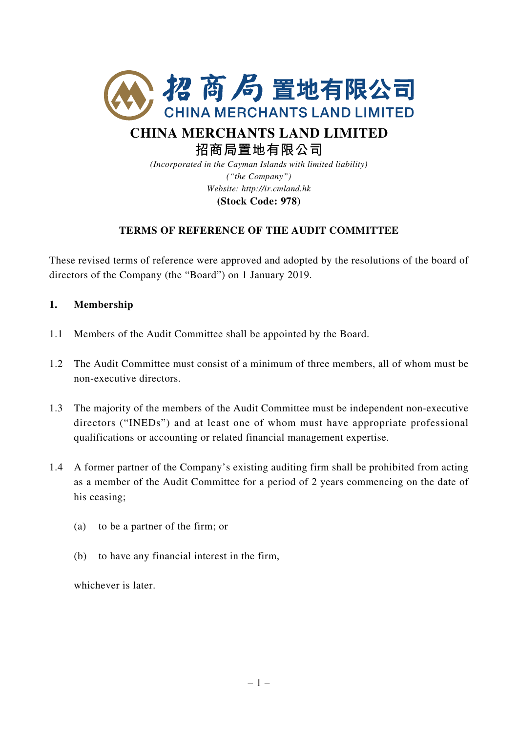

# **CHINA MERCHANTS LAND LIMITED 招商局置地有限公司**

*(Incorporated in the Cayman Islands with limited liability) ("the Company") Website: http://ir.cmland.hk* **(Stock Code: 978)**

## **TERMS OF REFERENCE OF THE AUDIT COMMITTEE**

These revised terms of reference were approved and adopted by the resolutions of the board of directors of the Company (the "Board") on 1 January 2019.

## **1. Membership**

- 1.1 Members of the Audit Committee shall be appointed by the Board.
- 1.2 The Audit Committee must consist of a minimum of three members, all of whom must be non-executive directors.
- 1.3 The majority of the members of the Audit Committee must be independent non-executive directors ("INEDs") and at least one of whom must have appropriate professional qualifications or accounting or related financial management expertise.
- 1.4 A former partner of the Company's existing auditing firm shall be prohibited from acting as a member of the Audit Committee for a period of 2 years commencing on the date of his ceasing;
	- (a) to be a partner of the firm; or
	- (b) to have any financial interest in the firm,

whichever is later.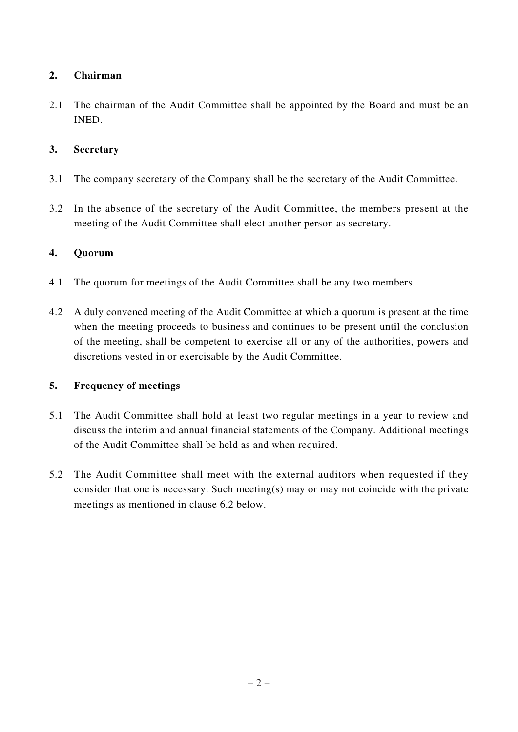# **2. Chairman**

2.1 The chairman of the Audit Committee shall be appointed by the Board and must be an INED.

## **3. Secretary**

- 3.1 The company secretary of the Company shall be the secretary of the Audit Committee.
- 3.2 In the absence of the secretary of the Audit Committee, the members present at the meeting of the Audit Committee shall elect another person as secretary.

## **4. Quorum**

- 4.1 The quorum for meetings of the Audit Committee shall be any two members.
- 4.2 A duly convened meeting of the Audit Committee at which a quorum is present at the time when the meeting proceeds to business and continues to be present until the conclusion of the meeting, shall be competent to exercise all or any of the authorities, powers and discretions vested in or exercisable by the Audit Committee.

## **5. Frequency of meetings**

- 5.1 The Audit Committee shall hold at least two regular meetings in a year to review and discuss the interim and annual financial statements of the Company. Additional meetings of the Audit Committee shall be held as and when required.
- 5.2 The Audit Committee shall meet with the external auditors when requested if they consider that one is necessary. Such meeting(s) may or may not coincide with the private meetings as mentioned in clause 6.2 below.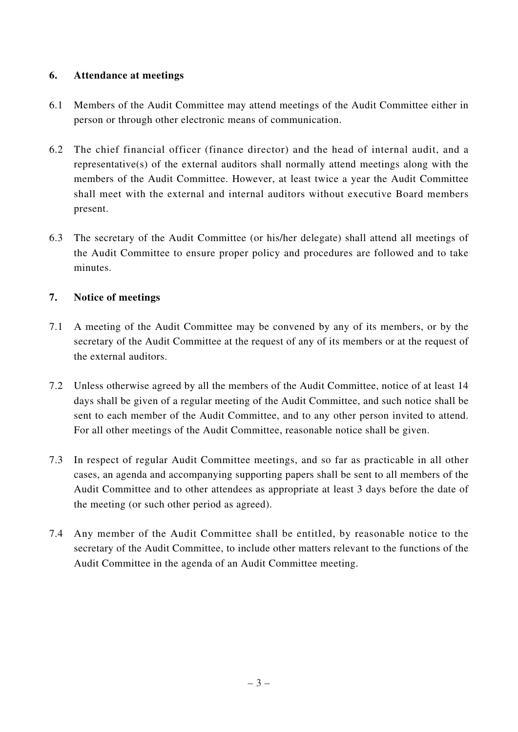## **6. Attendance at meetings**

- 6.1 Members of the Audit Committee may attend meetings of the Audit Committee either in person or through other electronic means of communication.
- 6.2 The chief financial officer (finance director) and the head of internal audit, and a representative(s) of the external auditors shall normally attend meetings along with the members of the Audit Committee. However, at least twice a year the Audit Committee shall meet with the external and internal auditors without executive Board members present.
- 6.3 The secretary of the Audit Committee (or his/her delegate) shall attend all meetings of the Audit Committee to ensure proper policy and procedures are followed and to take minutes.

## **7. Notice of meetings**

- 7.1 A meeting of the Audit Committee may be convened by any of its members, or by the secretary of the Audit Committee at the request of any of its members or at the request of the external auditors.
- 7.2 Unless otherwise agreed by all the members of the Audit Committee, notice of at least 14 days shall be given of a regular meeting of the Audit Committee, and such notice shall be sent to each member of the Audit Committee, and to any other person invited to attend. For all other meetings of the Audit Committee, reasonable notice shall be given.
- 7.3 In respect of regular Audit Committee meetings, and so far as practicable in all other cases, an agenda and accompanying supporting papers shall be sent to all members of the Audit Committee and to other attendees as appropriate at least 3 days before the date of the meeting (or such other period as agreed).
- 7.4 Any member of the Audit Committee shall be entitled, by reasonable notice to the secretary of the Audit Committee, to include other matters relevant to the functions of the Audit Committee in the agenda of an Audit Committee meeting.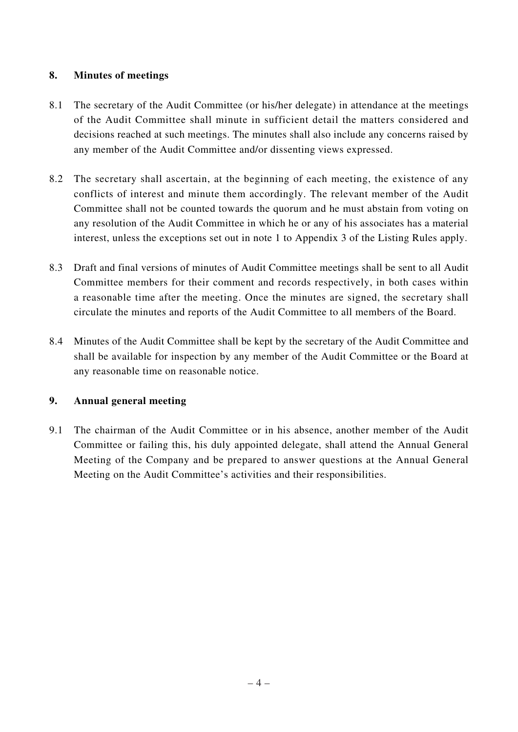# **8. Minutes of meetings**

- 8.1 The secretary of the Audit Committee (or his/her delegate) in attendance at the meetings of the Audit Committee shall minute in sufficient detail the matters considered and decisions reached at such meetings. The minutes shall also include any concerns raised by any member of the Audit Committee and/or dissenting views expressed.
- 8.2 The secretary shall ascertain, at the beginning of each meeting, the existence of any conflicts of interest and minute them accordingly. The relevant member of the Audit Committee shall not be counted towards the quorum and he must abstain from voting on any resolution of the Audit Committee in which he or any of his associates has a material interest, unless the exceptions set out in note 1 to Appendix 3 of the Listing Rules apply.
- 8.3 Draft and final versions of minutes of Audit Committee meetings shall be sent to all Audit Committee members for their comment and records respectively, in both cases within a reasonable time after the meeting. Once the minutes are signed, the secretary shall circulate the minutes and reports of the Audit Committee to all members of the Board.
- 8.4 Minutes of the Audit Committee shall be kept by the secretary of the Audit Committee and shall be available for inspection by any member of the Audit Committee or the Board at any reasonable time on reasonable notice.

## **9. Annual general meeting**

9.1 The chairman of the Audit Committee or in his absence, another member of the Audit Committee or failing this, his duly appointed delegate, shall attend the Annual General Meeting of the Company and be prepared to answer questions at the Annual General Meeting on the Audit Committee's activities and their responsibilities.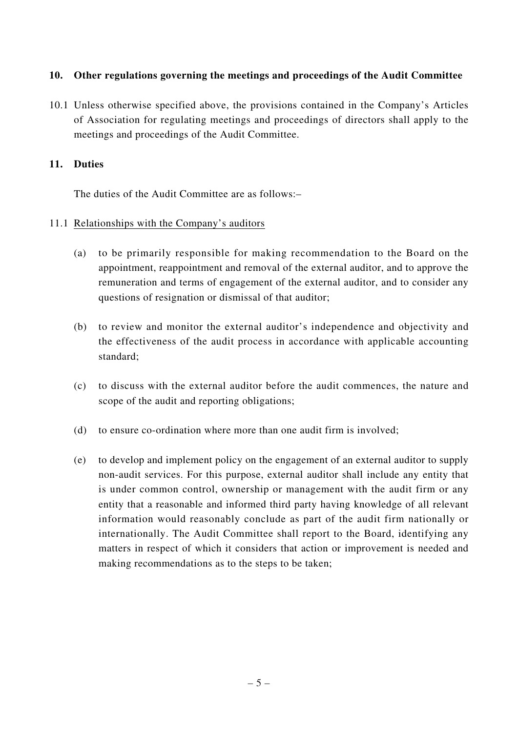### **10. Other regulations governing the meetings and proceedings of the Audit Committee**

10.1 Unless otherwise specified above, the provisions contained in the Company's Articles of Association for regulating meetings and proceedings of directors shall apply to the meetings and proceedings of the Audit Committee.

#### **11. Duties**

The duties of the Audit Committee are as follows:–

#### 11.1 Relationships with the Company's auditors

- (a) to be primarily responsible for making recommendation to the Board on the appointment, reappointment and removal of the external auditor, and to approve the remuneration and terms of engagement of the external auditor, and to consider any questions of resignation or dismissal of that auditor;
- (b) to review and monitor the external auditor's independence and objectivity and the effectiveness of the audit process in accordance with applicable accounting standard;
- (c) to discuss with the external auditor before the audit commences, the nature and scope of the audit and reporting obligations;
- (d) to ensure co-ordination where more than one audit firm is involved;
- (e) to develop and implement policy on the engagement of an external auditor to supply non-audit services. For this purpose, external auditor shall include any entity that is under common control, ownership or management with the audit firm or any entity that a reasonable and informed third party having knowledge of all relevant information would reasonably conclude as part of the audit firm nationally or internationally. The Audit Committee shall report to the Board, identifying any matters in respect of which it considers that action or improvement is needed and making recommendations as to the steps to be taken;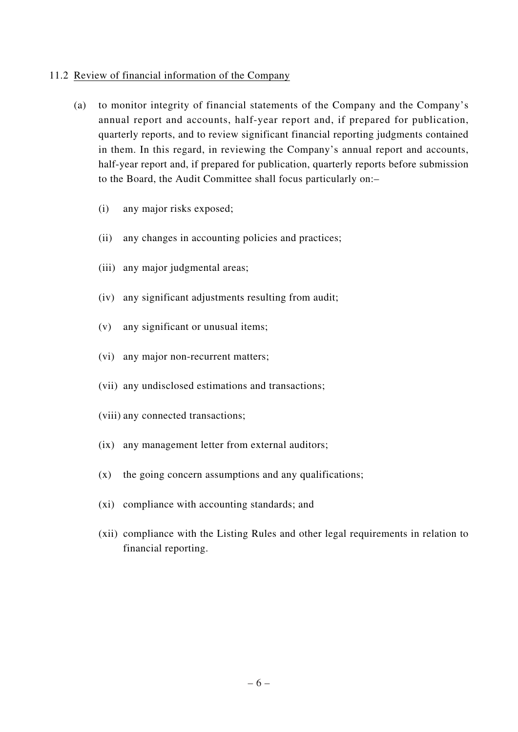#### 11.2 Review of financial information of the Company

- (a) to monitor integrity of financial statements of the Company and the Company's annual report and accounts, half-year report and, if prepared for publication, quarterly reports, and to review significant financial reporting judgments contained in them. In this regard, in reviewing the Company's annual report and accounts, half-year report and, if prepared for publication, quarterly reports before submission to the Board, the Audit Committee shall focus particularly on:–
	- (i) any major risks exposed;
	- (ii) any changes in accounting policies and practices;
	- (iii) any major judgmental areas;
	- (iv) any significant adjustments resulting from audit;
	- (v) any significant or unusual items;
	- (vi) any major non-recurrent matters;
	- (vii) any undisclosed estimations and transactions;
	- (viii) any connected transactions;
	- (ix) any management letter from external auditors;
	- (x) the going concern assumptions and any qualifications;
	- (xi) compliance with accounting standards; and
	- (xii) compliance with the Listing Rules and other legal requirements in relation to financial reporting.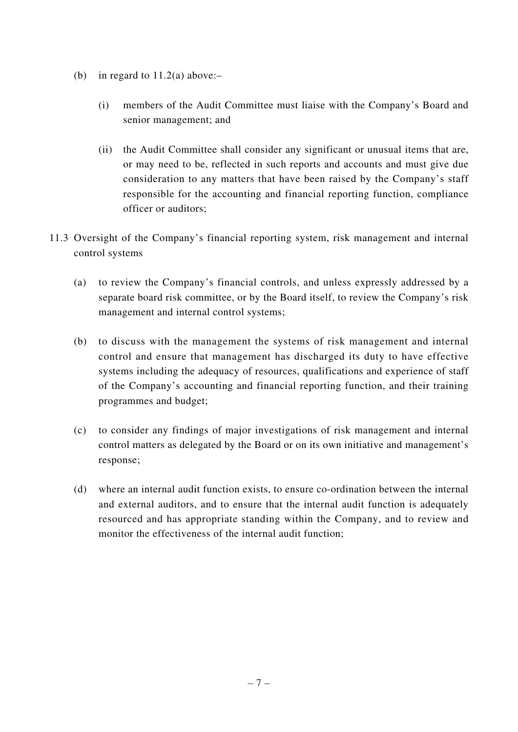- (b) in regard to  $11.2(a)$  above:-
	- (i) members of the Audit Committee must liaise with the Company's Board and senior management; and
	- (ii) the Audit Committee shall consider any significant or unusual items that are, or may need to be, reflected in such reports and accounts and must give due consideration to any matters that have been raised by the Company's staff responsible for the accounting and financial reporting function, compliance officer or auditors;
- 11.3 Oversight of the Company's financial reporting system, risk management and internal control systems
	- (a) to review the Company's financial controls, and unless expressly addressed by a separate board risk committee, or by the Board itself, to review the Company's risk management and internal control systems;
	- (b) to discuss with the management the systems of risk management and internal control and ensure that management has discharged its duty to have effective systems including the adequacy of resources, qualifications and experience of staff of the Company's accounting and financial reporting function, and their training programmes and budget;
	- (c) to consider any findings of major investigations of risk management and internal control matters as delegated by the Board or on its own initiative and management's response;
	- (d) where an internal audit function exists, to ensure co-ordination between the internal and external auditors, and to ensure that the internal audit function is adequately resourced and has appropriate standing within the Company, and to review and monitor the effectiveness of the internal audit function;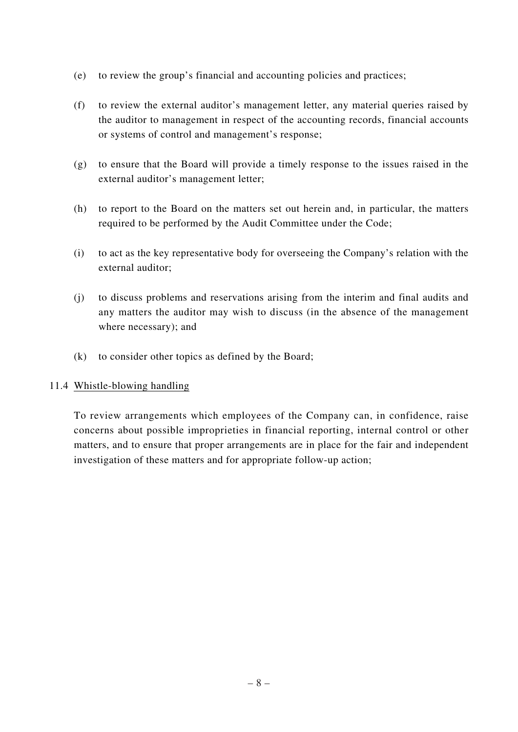- (e) to review the group's financial and accounting policies and practices;
- (f) to review the external auditor's management letter, any material queries raised by the auditor to management in respect of the accounting records, financial accounts or systems of control and management's response;
- (g) to ensure that the Board will provide a timely response to the issues raised in the external auditor's management letter;
- (h) to report to the Board on the matters set out herein and, in particular, the matters required to be performed by the Audit Committee under the Code;
- (i) to act as the key representative body for overseeing the Company's relation with the external auditor;
- (j) to discuss problems and reservations arising from the interim and final audits and any matters the auditor may wish to discuss (in the absence of the management where necessary); and
- (k) to consider other topics as defined by the Board;

## 11.4 Whistle-blowing handling

To review arrangements which employees of the Company can, in confidence, raise concerns about possible improprieties in financial reporting, internal control or other matters, and to ensure that proper arrangements are in place for the fair and independent investigation of these matters and for appropriate follow-up action;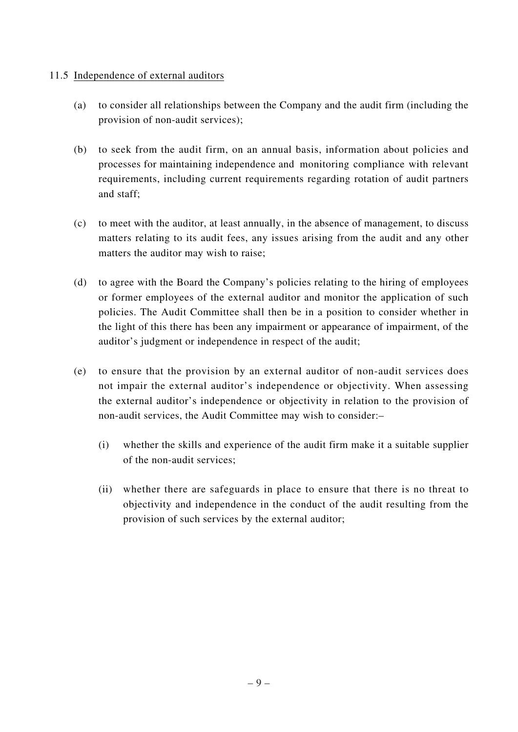### 11.5 Independence of external auditors

- (a) to consider all relationships between the Company and the audit firm (including the provision of non-audit services);
- (b) to seek from the audit firm, on an annual basis, information about policies and processes for maintaining independence and monitoring compliance with relevant requirements, including current requirements regarding rotation of audit partners and staff;
- (c) to meet with the auditor, at least annually, in the absence of management, to discuss matters relating to its audit fees, any issues arising from the audit and any other matters the auditor may wish to raise;
- (d) to agree with the Board the Company's policies relating to the hiring of employees or former employees of the external auditor and monitor the application of such policies. The Audit Committee shall then be in a position to consider whether in the light of this there has been any impairment or appearance of impairment, of the auditor's judgment or independence in respect of the audit;
- (e) to ensure that the provision by an external auditor of non-audit services does not impair the external auditor's independence or objectivity. When assessing the external auditor's independence or objectivity in relation to the provision of non-audit services, the Audit Committee may wish to consider:–
	- (i) whether the skills and experience of the audit firm make it a suitable supplier of the non-audit services;
	- (ii) whether there are safeguards in place to ensure that there is no threat to objectivity and independence in the conduct of the audit resulting from the provision of such services by the external auditor;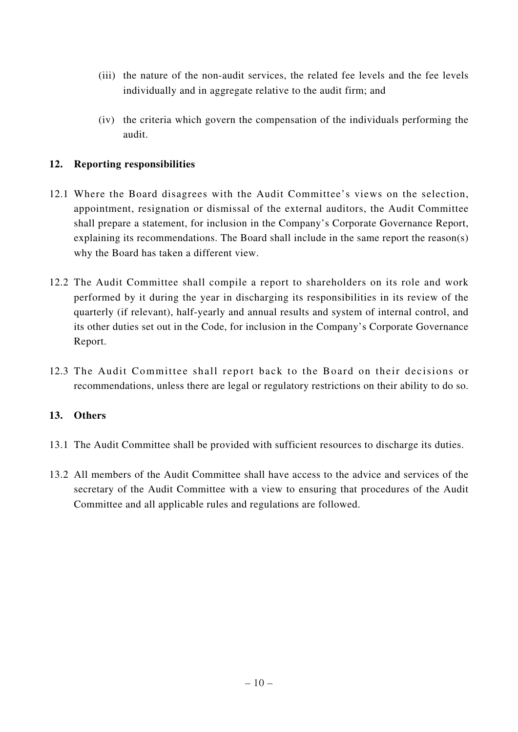- (iii) the nature of the non-audit services, the related fee levels and the fee levels individually and in aggregate relative to the audit firm; and
- (iv) the criteria which govern the compensation of the individuals performing the audit.

# **12. Reporting responsibilities**

- 12.1 Where the Board disagrees with the Audit Committee's views on the selection, appointment, resignation or dismissal of the external auditors, the Audit Committee shall prepare a statement, for inclusion in the Company's Corporate Governance Report, explaining its recommendations. The Board shall include in the same report the reason(s) why the Board has taken a different view.
- 12.2 The Audit Committee shall compile a report to shareholders on its role and work performed by it during the year in discharging its responsibilities in its review of the quarterly (if relevant), half-yearly and annual results and system of internal control, and its other duties set out in the Code, for inclusion in the Company's Corporate Governance Report.
- 12.3 The Audit Committee shall report back to the Board on their decisions or recommendations, unless there are legal or regulatory restrictions on their ability to do so.

## **13. Others**

- 13.1 The Audit Committee shall be provided with sufficient resources to discharge its duties.
- 13.2 All members of the Audit Committee shall have access to the advice and services of the secretary of the Audit Committee with a view to ensuring that procedures of the Audit Committee and all applicable rules and regulations are followed.